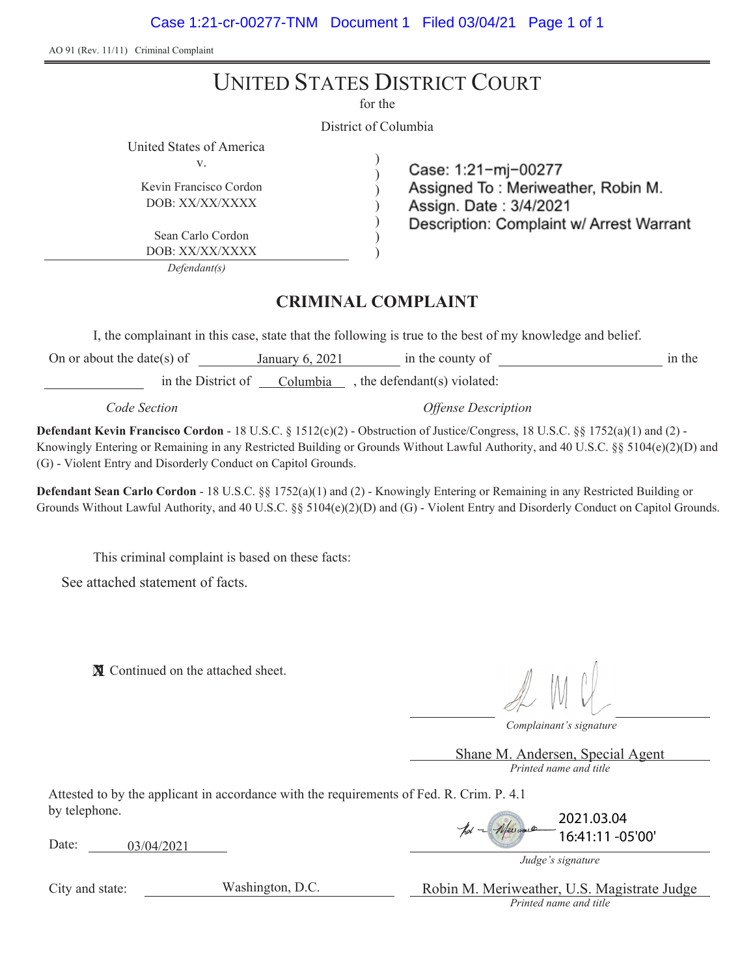AO 91 (Rev. 11/11) Criminal Complaint

# UNITED STATES DISTRICT COURT

for the

District of Columbia

) ) ) ) ) ) )

United States of America v.

Kevin Francisco Cordon DOB: XX/XX/XXXX

Sean Carlo Cordon DOB: XX/XX/XXXX

*Defendant(s)*

## Case: 1:21-mi-00277 Assigned To: Meriweather, Robin M. Assign. Date: 3/4/2021 Description: Complaint w/ Arrest Warrant

### **CRIMINAL COMPLAINT**

I, the complainant in this case, state that the following is true to the best of my knowledge and belief.

On or about the date(s) of  $\frac{1}{2}$  January 6, 2021 in the county of  $\frac{1}{2}$  in the in the District of  $\sqrt{\frac{Columbia}{\text{Columbia}}}$ , the defendant(s) violated:

*Code Section Offense Description*

**Defendant Kevin Francisco Cordon** - 18 U.S.C. § 1512(c)(2) - Obstruction of Justice/Congress, 18 U.S.C. §§ 1752(a)(1) and (2) - Knowingly Entering or Remaining in any Restricted Building or Grounds Without Lawful Authority, and 40 U.S.C. §§ 5104(e)(2)(D) and (G) - Violent Entry and Disorderly Conduct on Capitol Grounds.

**Defendant Sean Carlo Cordon** - 18 U.S.C. §§ 1752(a)(1) and (2) - Knowingly Entering or Remaining in any Restricted Building or Grounds Without Lawful Authority, and 40 U.S.C. §§ 5104(e)(2)(D) and (G) - Violent Entry and Disorderly Conduct on Capitol Grounds.

This criminal complaint is based on these facts:

See attached statement of facts.

**X** Continued on the attached sheet.

*Complainant's signature*

*Printed name and title* Shane M. Andersen, Special Agent

Attested to by the applicant in accordance with the requirements of Fed. R. Crim. P. 4.1 by telephone.

Date: 03/04/2021

| pol - Meiward | 2021.03.04       |
|---------------|------------------|
|               | 16:41:11 -05'00' |

*Judge's signature*

City and state:

Washington, D.C.

*Printed name and title* Robin M. Meriweather, U.S. Magistrate Judge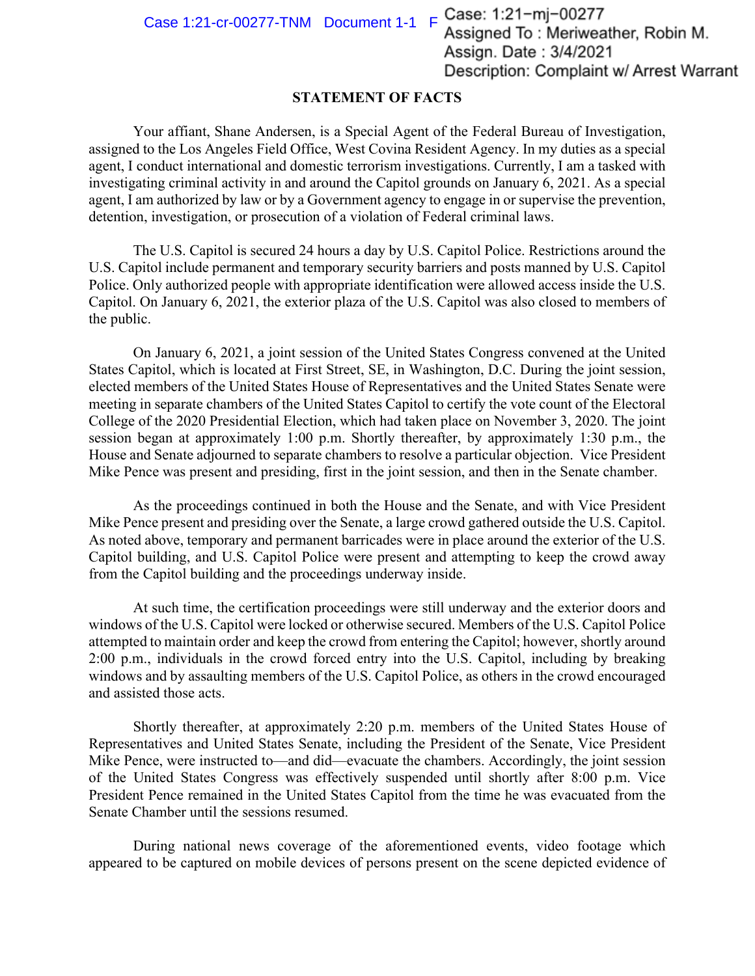Case 1:21-cr-00277-TNM Document  $1-1$  F Case: 1:21-mj-00277<br>Assigned To: Meriweather, Robin M. Assign. Date: 3/4/2021 Description: Complaint w/ Arrest Warrant

#### **STATEMENT OF FACTS**

Your affiant, Shane Andersen, is a Special Agent of the Federal Bureau of Investigation, assigned to the Los Angeles Field Office, West Covina Resident Agency. In my duties as a special agent, I conduct international and domestic terrorism investigations. Currently, I am a tasked with investigating criminal activity in and around the Capitol grounds on January 6, 2021. As a special agent, I am authorized by law or by a Government agency to engage in or supervise the prevention, detention, investigation, or prosecution of a violation of Federal criminal laws.

The U.S. Capitol is secured 24 hours a day by U.S. Capitol Police. Restrictions around the U.S. Capitol include permanent and temporary security barriers and posts manned by U.S. Capitol Police. Only authorized people with appropriate identification were allowed access inside the U.S. Capitol. On January 6, 2021, the exterior plaza of the U.S. Capitol was also closed to members of the public.

On January 6, 2021, a joint session of the United States Congress convened at the United States Capitol, which is located at First Street, SE, in Washington, D.C. During the joint session, elected members of the United States House of Representatives and the United States Senate were meeting in separate chambers of the United States Capitol to certify the vote count of the Electoral College of the 2020 Presidential Election, which had taken place on November 3, 2020. The joint session began at approximately 1:00 p.m. Shortly thereafter, by approximately 1:30 p.m., the House and Senate adjourned to separate chambers to resolve a particular objection. Vice President Mike Pence was present and presiding, first in the joint session, and then in the Senate chamber.

As the proceedings continued in both the House and the Senate, and with Vice President Mike Pence present and presiding over the Senate, a large crowd gathered outside the U.S. Capitol. As noted above, temporary and permanent barricades were in place around the exterior of the U.S. Capitol building, and U.S. Capitol Police were present and attempting to keep the crowd away from the Capitol building and the proceedings underway inside.

At such time, the certification proceedings were still underway and the exterior doors and windows of the U.S. Capitol were locked or otherwise secured. Members of the U.S. Capitol Police attempted to maintain order and keep the crowd from entering the Capitol; however, shortly around 2:00 p.m., individuals in the crowd forced entry into the U.S. Capitol, including by breaking windows and by assaulting members of the U.S. Capitol Police, as others in the crowd encouraged and assisted those acts.

Shortly thereafter, at approximately 2:20 p.m. members of the United States House of Representatives and United States Senate, including the President of the Senate, Vice President Mike Pence, were instructed to—and did—evacuate the chambers. Accordingly, the joint session of the United States Congress was effectively suspended until shortly after 8:00 p.m. Vice President Pence remained in the United States Capitol from the time he was evacuated from the Senate Chamber until the sessions resumed.

During national news coverage of the aforementioned events, video footage which appeared to be captured on mobile devices of persons present on the scene depicted evidence of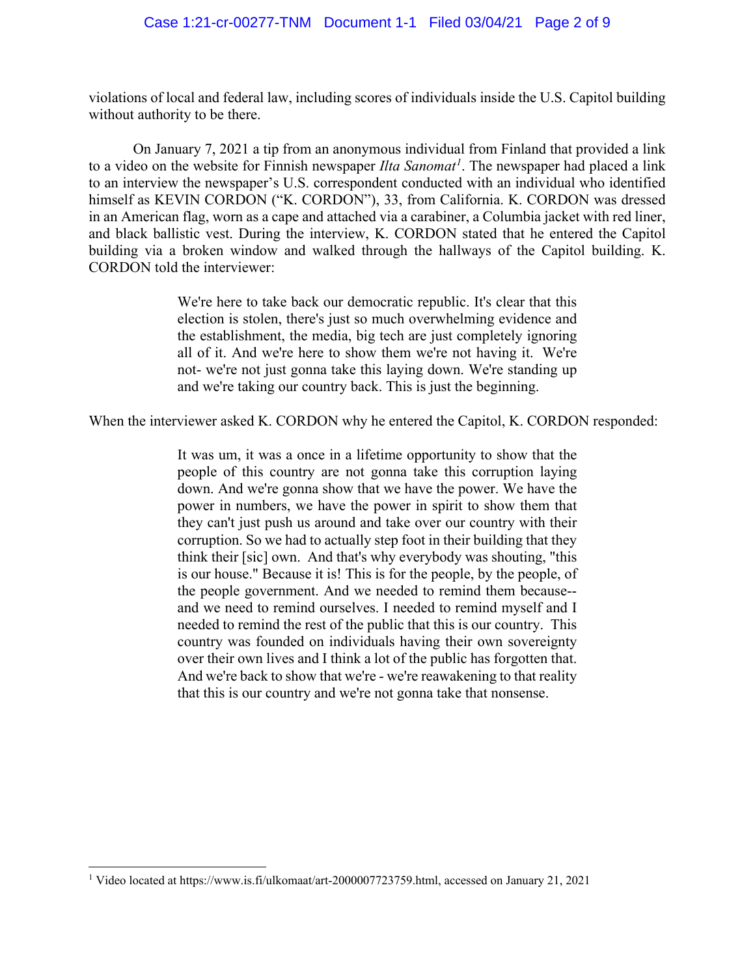violations of local and federal law, including scores of individuals inside the U.S. Capitol building without authority to be there.

On January 7, 2021 a tip from an anonymous individual from Finland that provided a link to a video on the website for Finnish newspaper *Ilta Sanomat<sup>1</sup>*. The newspaper had placed a link to an interview the newspaper's U.S. correspondent conducted with an individual who identified himself as KEVIN CORDON ("K. CORDON"), 33, from California. K. CORDON was dressed in an American flag, worn as a cape and attached via a carabiner, a Columbia jacket with red liner, and black ballistic vest. During the interview, K. CORDON stated that he entered the Capitol building via a broken window and walked through the hallways of the Capitol building. K. CORDON told the interviewer:

> We're here to take back our democratic republic. It's clear that this election is stolen, there's just so much overwhelming evidence and the establishment, the media, big tech are just completely ignoring all of it. And we're here to show them we're not having it. We're not- we're not just gonna take this laying down. We're standing up and we're taking our country back. This is just the beginning.

When the interviewer asked K. CORDON why he entered the Capitol, K. CORDON responded:

It was um, it was a once in a lifetime opportunity to show that the people of this country are not gonna take this corruption laying down. And we're gonna show that we have the power. We have the power in numbers, we have the power in spirit to show them that they can't just push us around and take over our country with their corruption. So we had to actually step foot in their building that they think their [sic] own. And that's why everybody was shouting, "this is our house." Because it is! This is for the people, by the people, of the people government. And we needed to remind them because- and we need to remind ourselves. I needed to remind myself and I needed to remind the rest of the public that this is our country. This country was founded on individuals having their own sovereignty over their own lives and I think a lot of the public has forgotten that. And we're back to show that we're - we're reawakening to that reality that this is our country and we're not gonna take that nonsense.

<sup>1</sup> Video located at https://www.is.fi/ulkomaat/art-2000007723759.html, accessed on January 21, 2021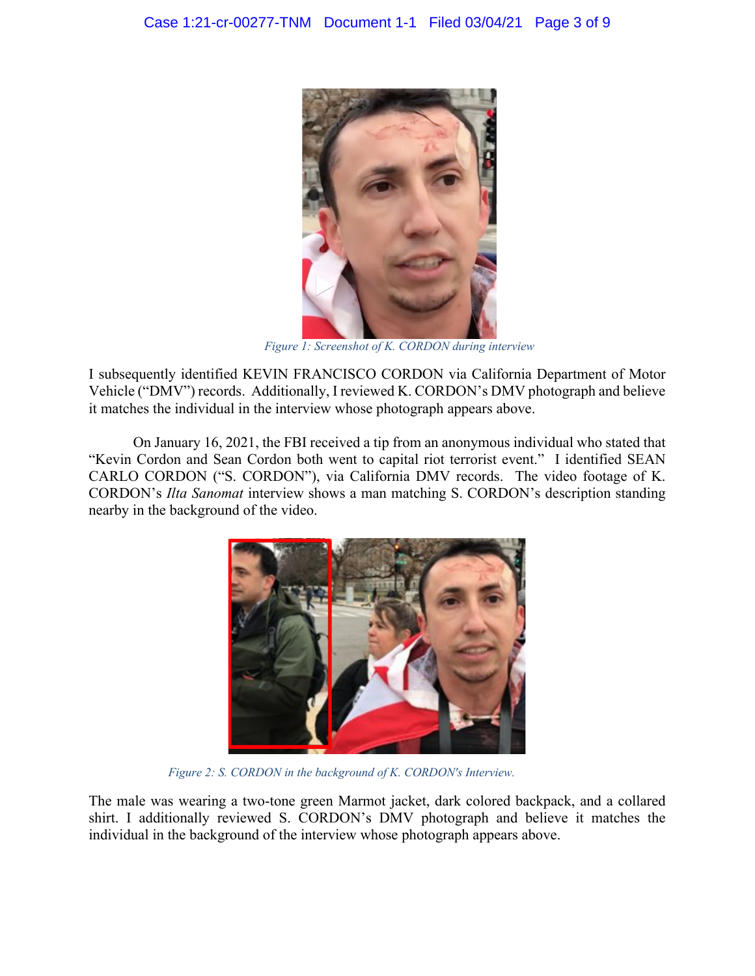

*Figure 1: Screenshot of K. CORDON during interview*

I subsequently identified KEVIN FRANCISCO CORDON via California Department of Motor Vehicle ("DMV") records. Additionally, I reviewed K. CORDON's DMV photograph and believe it matches the individual in the interview whose photograph appears above.

On January 16, 2021, the FBI received a tip from an anonymous individual who stated that "Kevin Cordon and Sean Cordon both went to capital riot terrorist event." I identified SEAN CARLO CORDON ("S. CORDON"), via California DMV records. The video footage of K. CORDON's *Ilta Sanomat* interview shows a man matching S. CORDON's description standing nearby in the background of the video.



*Figure 2: S. CORDON in the background of K. CORDON's Interview.*

The male was wearing a two-tone green Marmot jacket, dark colored backpack, and a collared shirt. I additionally reviewed S. CORDON's DMV photograph and believe it matches the individual in the background of the interview whose photograph appears above.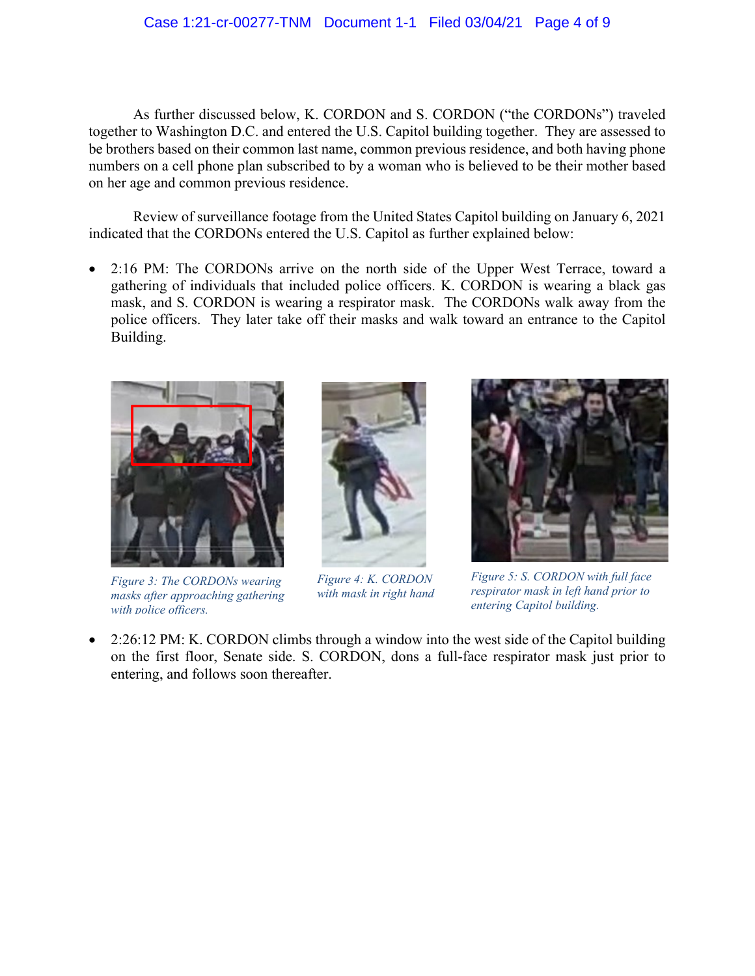As further discussed below, K. CORDON and S. CORDON ("the CORDONs") traveled together to Washington D.C. and entered the U.S. Capitol building together. They are assessed to be brothers based on their common last name, common previous residence, and both having phone numbers on a cell phone plan subscribed to by a woman who is believed to be their mother based on her age and common previous residence.

Review of surveillance footage from the United States Capitol building on January 6, 2021 indicated that the CORDONs entered the U.S. Capitol as further explained below:

• 2:16 PM: The CORDONs arrive on the north side of the Upper West Terrace, toward a gathering of individuals that included police officers. K. CORDON is wearing a black gas mask, and S. CORDON is wearing a respirator mask. The CORDONs walk away from the police officers. They later take off their masks and walk toward an entrance to the Capitol Building.



*Figure 3: The CORDONs wearing masks after approaching gathering with police officers.*





*Figure 5: S. CORDON with full face respirator mask in left hand prior to entering Capitol building.*

• 2:26:12 PM: K. CORDON climbs through a window into the west side of the Capitol building on the first floor, Senate side. S. CORDON, dons a full-face respirator mask just prior to entering, and follows soon thereafter.

*Figure 4: K. CORDON with mask in right hand*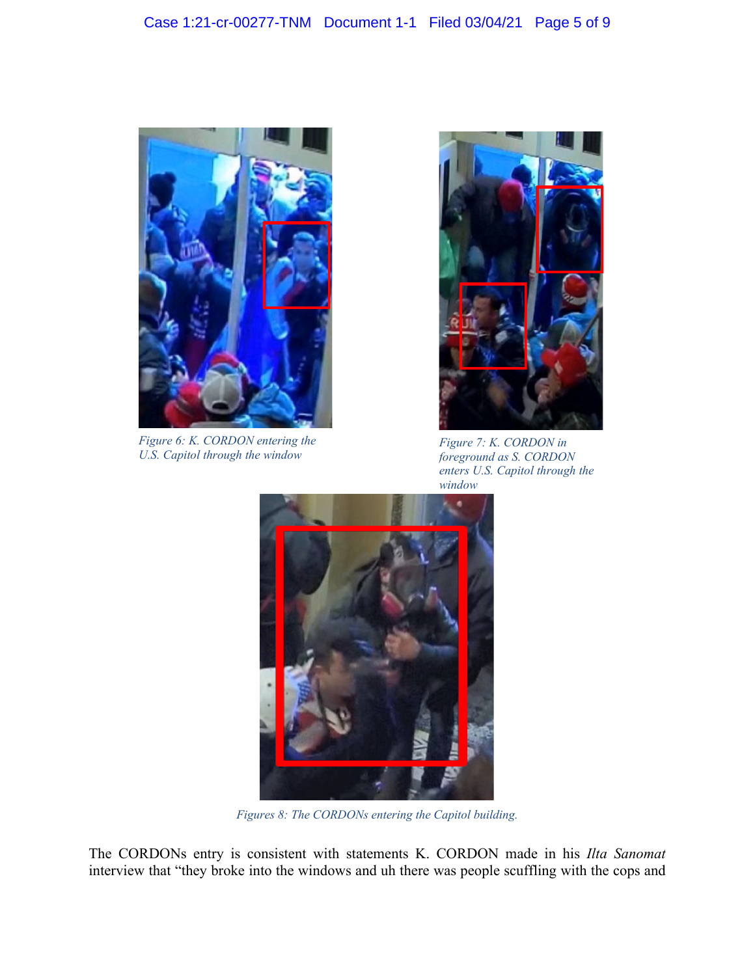

*Figure 6: K. CORDON entering the U.S. Capitol through the window*



*Figure 7: K. CORDON in foreground as S. CORDON enters U.S. Capitol through the window*



*Figures 8: The CORDONs entering the Capitol building.*

The CORDONs entry is consistent with statements K. CORDON made in his *Ilta Sanomat* interview that "they broke into the windows and uh there was people scuffling with the cops and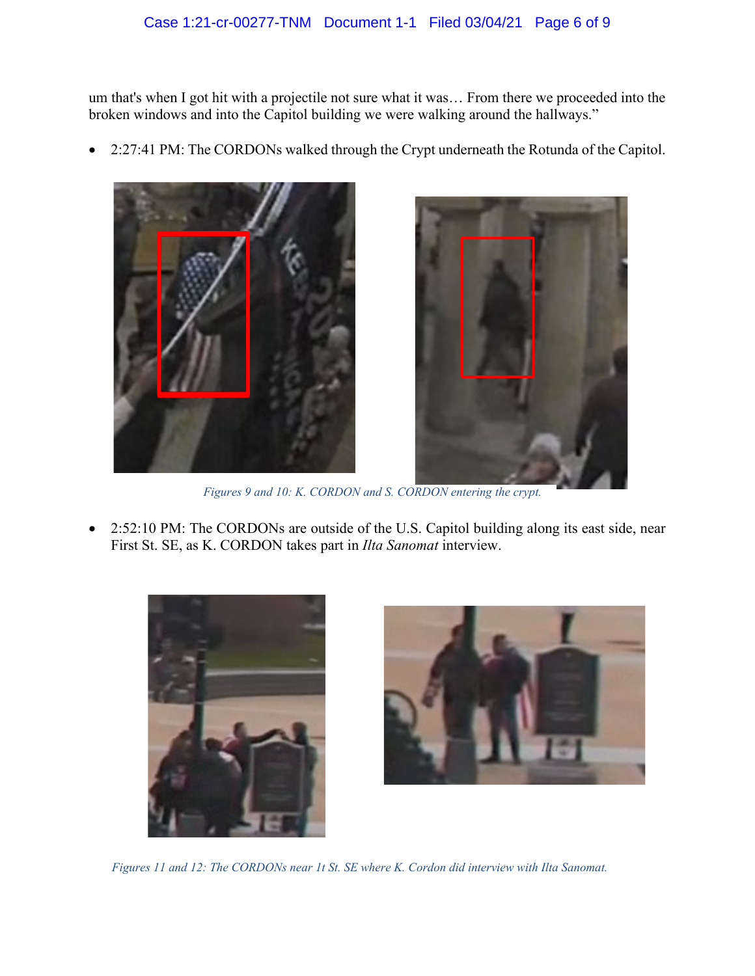um that's when I got hit with a projectile not sure what it was… From there we proceeded into the broken windows and into the Capitol building we were walking around the hallways."

• 2:27:41 PM: The CORDONs walked through the Crypt underneath the Rotunda of the Capitol.



*Figures 9 and 10: K. CORDON and S. CORDON entering the crypt.*

• 2:52:10 PM: The CORDONs are outside of the U.S. Capitol building along its east side, near First St. SE, as K. CORDON takes part in *Ilta Sanomat* interview.





*Figures 11 and 12: The CORDONs near 1t St. SE where K. Cordon did interview with Ilta Sanomat.*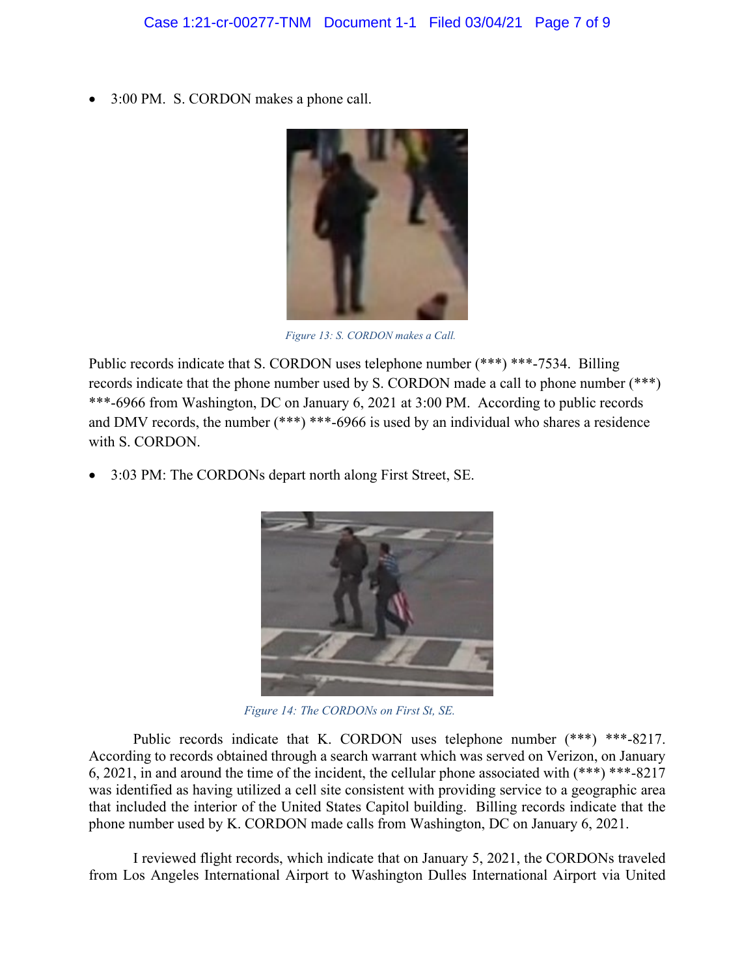• 3:00 PM. S. CORDON makes a phone call.



*Figure 13: S. CORDON makes a Call.*

Public records indicate that S. CORDON uses telephone number (\*\*\*) \*\*\*-7534. Billing records indicate that the phone number used by S. CORDON made a call to phone number (\*\*\*) \*\*\*-6966 from Washington, DC on January 6, 2021 at 3:00 PM. According to public records and DMV records, the number (\*\*\*) \*\*\*-6966 is used by an individual who shares a residence with S. CORDON.

• 3:03 PM: The CORDONs depart north along First Street, SE.



*Figure 14: The CORDONs on First St, SE.*

Public records indicate that K. CORDON uses telephone number (\*\*\*) \*\*\*-8217. According to records obtained through a search warrant which was served on Verizon, on January 6, 2021, in and around the time of the incident, the cellular phone associated with (\*\*\*) \*\*\*-8217 was identified as having utilized a cell site consistent with providing service to a geographic area that included the interior of the United States Capitol building. Billing records indicate that the phone number used by K. CORDON made calls from Washington, DC on January 6, 2021.

I reviewed flight records, which indicate that on January 5, 2021, the CORDONs traveled from Los Angeles International Airport to Washington Dulles International Airport via United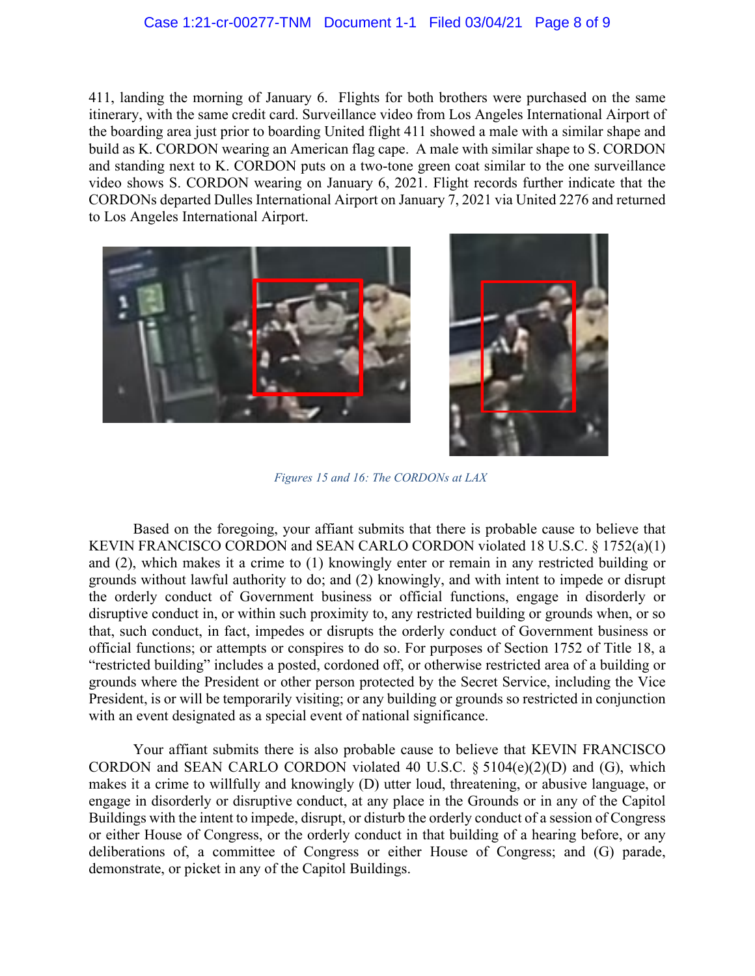#### Case 1:21-cr-00277-TNM Document 1-1 Filed 03/04/21 Page 8 of 9

411, landing the morning of January 6. Flights for both brothers were purchased on the same itinerary, with the same credit card. Surveillance video from Los Angeles International Airport of the boarding area just prior to boarding United flight 411 showed a male with a similar shape and build as K. CORDON wearing an American flag cape. A male with similar shape to S. CORDON and standing next to K. CORDON puts on a two-tone green coat similar to the one surveillance video shows S. CORDON wearing on January 6, 2021. Flight records further indicate that the CORDONs departed Dulles International Airport on January 7, 2021 via United 2276 and returned to Los Angeles International Airport.





*Figures 15 and 16: The CORDONs at LAX*

Based on the foregoing, your affiant submits that there is probable cause to believe that KEVIN FRANCISCO CORDON and SEAN CARLO CORDON violated 18 U.S.C. § 1752(a)(1) and (2), which makes it a crime to (1) knowingly enter or remain in any restricted building or grounds without lawful authority to do; and (2) knowingly, and with intent to impede or disrupt the orderly conduct of Government business or official functions, engage in disorderly or disruptive conduct in, or within such proximity to, any restricted building or grounds when, or so that, such conduct, in fact, impedes or disrupts the orderly conduct of Government business or official functions; or attempts or conspires to do so. For purposes of Section 1752 of Title 18, a "restricted building" includes a posted, cordoned off, or otherwise restricted area of a building or grounds where the President or other person protected by the Secret Service, including the Vice President, is or will be temporarily visiting; or any building or grounds so restricted in conjunction with an event designated as a special event of national significance.

Your affiant submits there is also probable cause to believe that KEVIN FRANCISCO CORDON and SEAN CARLO CORDON violated 40 U.S.C.  $\S$  5104(e)(2)(D) and (G), which makes it a crime to willfully and knowingly (D) utter loud, threatening, or abusive language, or engage in disorderly or disruptive conduct, at any place in the Grounds or in any of the Capitol Buildings with the intent to impede, disrupt, or disturb the orderly conduct of a session of Congress or either House of Congress, or the orderly conduct in that building of a hearing before, or any deliberations of, a committee of Congress or either House of Congress; and (G) parade, demonstrate, or picket in any of the Capitol Buildings.